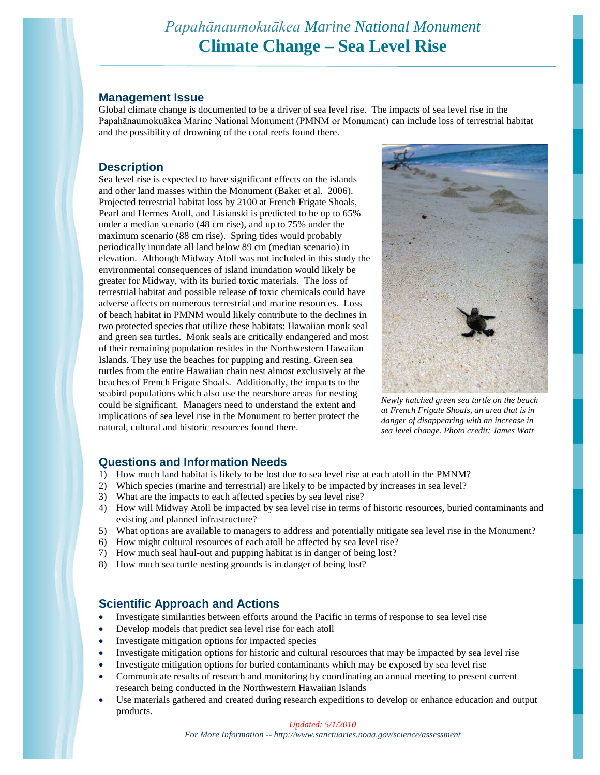# *Papahānaumokuākea Marine National Monument* **Climate Change – Sea Level Rise**

### **Management Issue**

Global climate change is documented to be a driver of sea level rise. The impacts of sea level rise in the Papahānaumokuākea Marine National Monument (PMNM or Monument) can include loss of terrestrial habitat and the possibility of drowning of the coral reefs found there.

## **Description**

Sea level rise is expected to have significant effects on the islands and other land masses within the Monument (Baker et al. 2006). Projected terrestrial habitat loss by 2100 at French Frigate Shoals, Pearl and Hermes Atoll, and Lisianski is predicted to be up to 65% under a median scenario (48 cm rise), and up to 75% under the maximum scenario (88 cm rise). Spring tides would probably periodically inundate all land below 89 cm (median scenario) in elevation. Although Midway Atoll was not included in this study the environmental consequences of island inundation would likely be greater for Midway, with its buried toxic materials. The loss of terrestrial habitat and possible release of toxic chemicals could have adverse affects on numerous terrestrial and marine resources. Loss of beach habitat in PMNM would likely contribute to the declines in two protected species that utilize these habitats: Hawaiian monk seal and green sea turtles. Monk seals are critically endangered and most of their remaining population resides in the Northwestern Hawaiian Islands. They use the beaches for pupping and resting. Green sea turtles from the entire Hawaiian chain nest almost exclusively at the beaches of French Frigate Shoals. Additionally, the impacts to the seabird populations which also use the nearshore areas for nesting could be significant. Managers need to understand the extent and implications of sea level rise in the Monument to better protect the natural, cultural and historic resources found there.



*Newly hatched green sea turtle on the beach at French Frigate Shoals, an area that is in danger of disappearing with an increase in sea level change. Photo credit: James Watt*

# **Questions and Information Needs**

- 1) How much land habitat is likely to be lost due to sea level rise at each atoll in the PMNM?
- 2) Which species (marine and terrestrial) are likely to be impacted by increases in sea level?
- 3) What are the impacts to each affected species by sea level rise?
- 4) How will Midway Atoll be impacted by sea level rise in terms of historic resources, buried contaminants and existing and planned infrastructure?
- 5) What options are available to managers to address and potentially mitigate sea level rise in the Monument?
- 6) How might cultural resources of each atoll be affected by sea level rise?
- 7) How much seal haul-out and pupping habitat is in danger of being lost?
- 8) How much sea turtle nesting grounds is in danger of being lost?

# **Scientific Approach and Actions**

- Investigate similarities between efforts around the Pacific in terms of response to sea level rise
- Develop models that predict sea level rise for each atoll
- Investigate mitigation options for impacted species
- Investigate mitigation options for historic and cultural resources that may be impacted by sea level rise
- Investigate mitigation options for buried contaminants which may be exposed by sea level rise
- Communicate results of research and monitoring by coordinating an annual meeting to present current research being conducted in the Northwestern Hawaiian Islands
- Use materials gathered and created during research expeditions to develop or enhance education and output products.

#### *Updated: 5/1/2010*

*For More Information -- http://www.sanctuaries.noaa.gov/science/assessment*